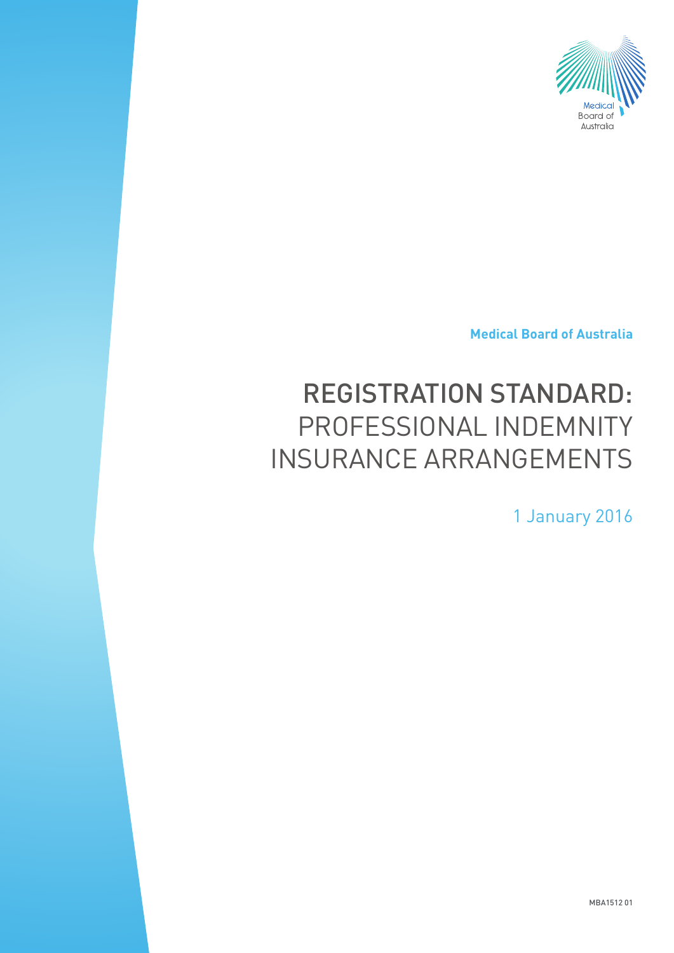

**Medical Board of Australia**

# REGISTRATION STANDARD: PROFESSIONAL INDEMNITY INSURANCE ARRANGEMENTS

1 January 2016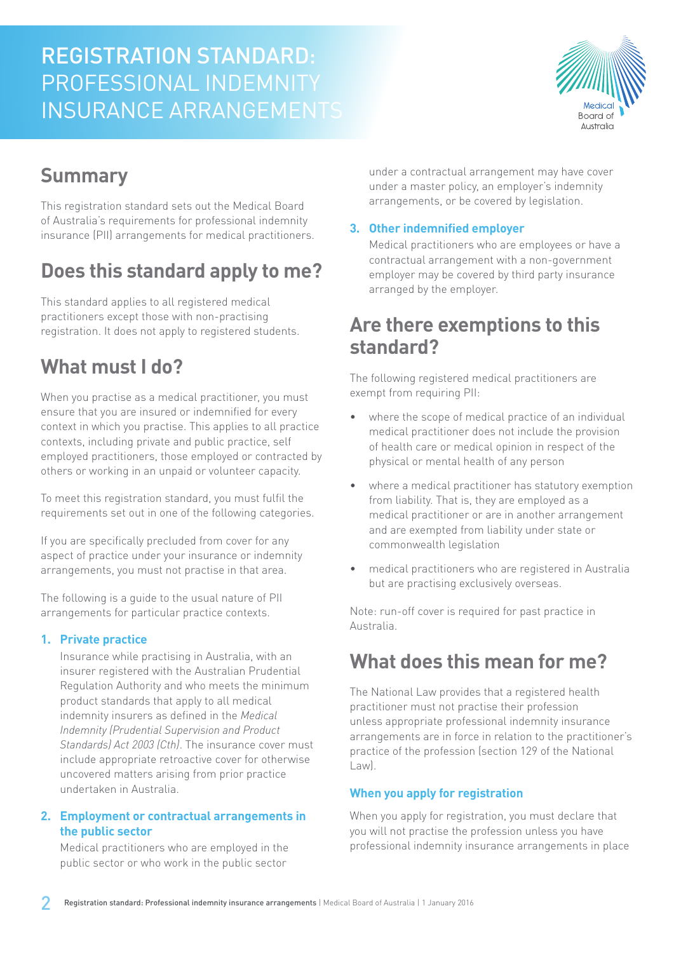# REGISTRATION STANDARD: PROFESSIONAL INDEMNITY INSURANCE ARRANGEMENTS



# **Summary**

This registration standard sets out the Medical Board of Australia's requirements for professional indemnity insurance (PII) arrangements for medical practitioners.

# **Does this standard apply to me?**

This standard applies to all registered medical practitioners except those with non-practising registration. It does not apply to registered students.

## **What must I do?**

When you practise as a medical practitioner, you must ensure that you are insured or indemnified for every context in which you practise. This applies to all practice contexts, including private and public practice, self employed practitioners, those employed or contracted by others or working in an unpaid or volunteer capacity.

To meet this registration standard, you must fulfil the requirements set out in one of the following categories.

If you are specifically precluded from cover for any aspect of practice under your insurance or indemnity arrangements, you must not practise in that area.

The following is a guide to the usual nature of PII arrangements for particular practice contexts.

#### **1. Private practice**

Insurance while practising in Australia, with an insurer registered with the Australian Prudential Regulation Authority and who meets the minimum product standards that apply to all medical indemnity insurers as defined in the *Medical Indemnity (Prudential Supervision and Product Standards) Act 2003 (Cth)*. The insurance cover must include appropriate retroactive cover for otherwise uncovered matters arising from prior practice undertaken in Australia.

#### **2. Employment or contractual arrangements in the public sector**

Medical practitioners who are employed in the public sector or who work in the public sector

under a contractual arrangement may have cover under a master policy, an employer's indemnity arrangements, or be covered by legislation.

#### **3. Other indemnified employer**

Medical practitioners who are employees or have a contractual arrangement with a non-government employer may be covered by third party insurance arranged by the employer.

### **Are there exemptions to this standard?**

The following registered medical practitioners are exempt from requiring PII:

- where the scope of medical practice of an individual medical practitioner does not include the provision of health care or medical opinion in respect of the physical or mental health of any person
- where a medical practitioner has statutory exemption from liability. That is, they are employed as a medical practitioner or are in another arrangement and are exempted from liability under state or commonwealth legislation
- medical practitioners who are registered in Australia but are practising exclusively overseas.

Note: run-off cover is required for past practice in Australia.

### **What does this mean for me?**

The National Law provides that a registered health practitioner must not practise their profession unless appropriate professional indemnity insurance arrangements are in force in relation to the practitioner's practice of the profession (section 129 of the National Law).

#### **When you apply for registration**

When you apply for registration, you must declare that you will not practise the profession unless you have professional indemnity insurance arrangements in place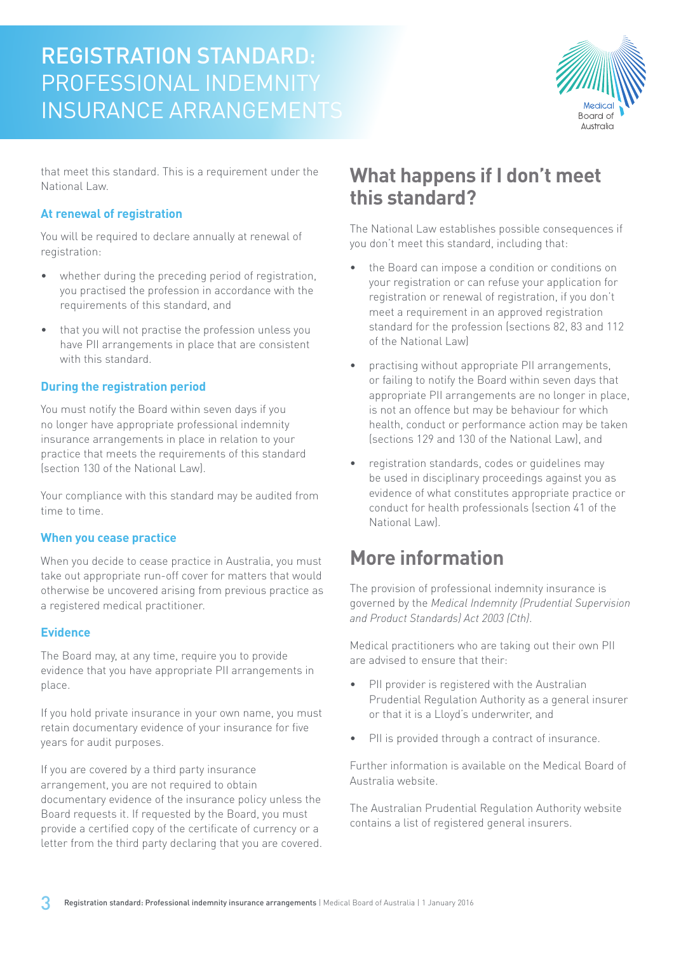# REGISTRATION STANDARD: PROFESSIONAL INDEMNITY INSURANCE ARRANGEMENTS



that meet this standard. This is a requirement under the National Law.

#### **At renewal of registration**

You will be required to declare annually at renewal of registration:

- whether during the preceding period of registration, you practised the profession in accordance with the requirements of this standard, and
- that you will not practise the profession unless you have PII arrangements in place that are consistent with this standard.

#### **During the registration period**

You must notify the Board within seven days if you no longer have appropriate professional indemnity insurance arrangements in place in relation to your practice that meets the requirements of this standard (section 130 of the National Law).

Your compliance with this standard may be audited from time to time.

#### **When you cease practice**

When you decide to cease practice in Australia, you must take out appropriate run-off cover for matters that would otherwise be uncovered arising from previous practice as a registered medical practitioner.

#### **Evidence**

The Board may, at any time, require you to provide evidence that you have appropriate PII arrangements in place.

If you hold private insurance in your own name, you must retain documentary evidence of your insurance for five years for audit purposes.

If you are covered by a third party insurance arrangement, you are not required to obtain documentary evidence of the insurance policy unless the Board requests it. If requested by the Board, you must provide a certified copy of the certificate of currency or a letter from the third party declaring that you are covered.

### **What happens if I don't meet this standard?**

The National Law establishes possible consequences if you don't meet this standard, including that:

- the Board can impose a condition or conditions on your registration or can refuse your application for registration or renewal of registration, if you don't meet a requirement in an approved registration standard for the profession (sections 82, 83 and 112 of the National Law)
- practising without appropriate PII arrangements, or failing to notify the Board within seven days that appropriate PII arrangements are no longer in place, is not an offence but may be behaviour for which health, conduct or performance action may be taken (sections 129 and 130 of the National Law), and
- registration standards, codes or guidelines may be used in disciplinary proceedings against you as evidence of what constitutes appropriate practice or conduct for health professionals (section 41 of the National Law).

### **More information**

The provision of professional indemnity insurance is governed by the *Medical Indemnity (Prudential Supervision and Product Standards) Act 2003 (Cth)*.

Medical practitioners who are taking out their own PII are advised to ensure that their:

- PII provider is registered with the Australian Prudential Regulation Authority as a general insurer or that it is a Lloyd's underwriter, and
- PII is provided through a contract of insurance.

Further information is available on the Medical Board of Australia website.

The Australian Prudential Regulation Authority website contains a list of registered general insurers.